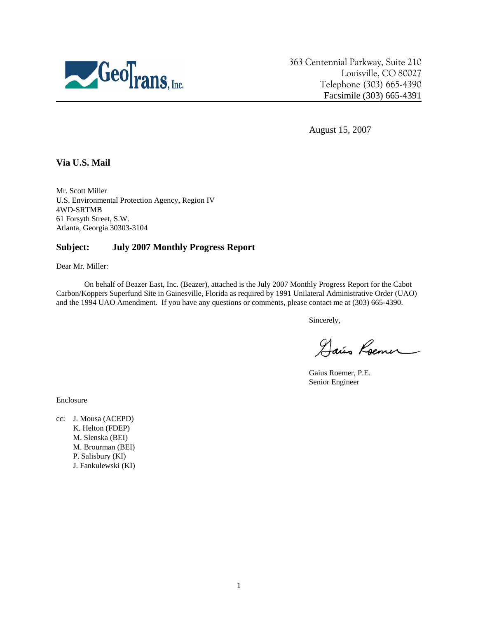

363 Centennial Parkway, Suite 210 Louisville, CO 80027 Telephone (303) 665-4390 Facsimile (303) 665-4391

August 15, 2007

### **Via U.S. Mail**

Mr. Scott Miller U.S. Environmental Protection Agency, Region IV 4WD-SRTMB 61 Forsyth Street, S.W. Atlanta, Georgia 30303-3104

### **Subject: July 2007 Monthly Progress Report**

Dear Mr. Miller:

On behalf of Beazer East, Inc. (Beazer), attached is the July 2007 Monthly Progress Report for the Cabot Carbon/Koppers Superfund Site in Gainesville, Florida as required by 1991 Unilateral Administrative Order (UAO) and the 1994 UAO Amendment. If you have any questions or comments, please contact me at (303) 665-4390.

Sincerely,

Dais Roemer

Gaius Roemer, P.E. Senior Engineer

Enclosure

cc: J. Mousa (ACEPD) K. Helton (FDEP) M. Slenska (BEI) M. Brourman (BEI) P. Salisbury (KI) J. Fankulewski (KI)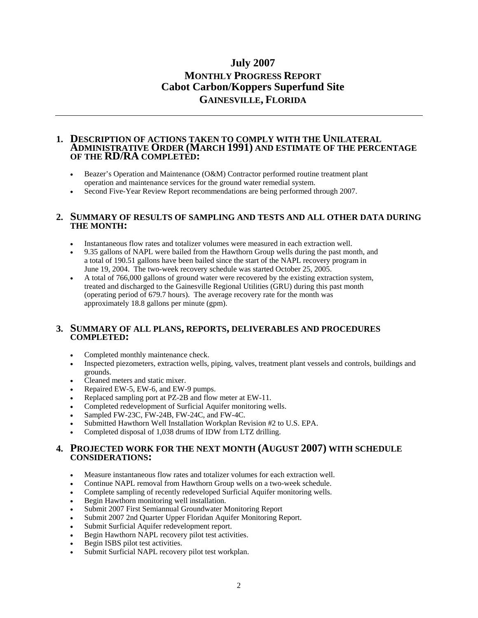# **July 2007 MONTHLY PROGRESS REPORT Cabot Carbon/Koppers Superfund Site GAINESVILLE, FLORIDA**

#### **1. DESCRIPTION OF ACTIONS TAKEN TO COMPLY WITH THE UNILATERAL ADMINISTRATIVE ORDER (MARCH 1991) AND ESTIMATE OF THE PERCENTAGE OF THE RD/RA COMPLETED:**

- Beazer's Operation and Maintenance (O&M) Contractor performed routine treatment plant operation and maintenance services for the ground water remedial system.
- Second Five-Year Review Report recommendations are being performed through 2007.

#### **2. SUMMARY OF RESULTS OF SAMPLING AND TESTS AND ALL OTHER DATA DURING THE MONTH:**

- Instantaneous flow rates and totalizer volumes were measured in each extraction well.
- 9.35 gallons of NAPL were bailed from the Hawthorn Group wells during the past month, and a total of 190.51 gallons have been bailed since the start of the NAPL recovery program in June 19, 2004. The two-week recovery schedule was started October 25, 2005.
- A total of 766,000 gallons of ground water were recovered by the existing extraction system, treated and discharged to the Gainesville Regional Utilities (GRU) during this past month (operating period of 679.7 hours). The average recovery rate for the month was approximately 18.8 gallons per minute (gpm).

#### **3. SUMMARY OF ALL PLANS, REPORTS, DELIVERABLES AND PROCEDURES COMPLETED:**

- Completed monthly maintenance check.
- Inspected piezometers, extraction wells, piping, valves, treatment plant vessels and controls, buildings and grounds.
- Cleaned meters and static mixer.
- Repaired EW-5, EW-6, and EW-9 pumps.
- Replaced sampling port at PZ-2B and flow meter at EW-11.
- Completed redevelopment of Surficial Aquifer monitoring wells.
- Sampled FW-23C, FW-24B, FW-24C, and FW-4C.
- Submitted Hawthorn Well Installation Workplan Revision #2 to U.S. EPA.
- Completed disposal of 1,038 drums of IDW from LTZ drilling.

#### **4. PROJECTED WORK FOR THE NEXT MONTH (AUGUST 2007) WITH SCHEDULE CONSIDERATIONS:**

- Measure instantaneous flow rates and totalizer volumes for each extraction well.
- Continue NAPL removal from Hawthorn Group wells on a two-week schedule.
- Complete sampling of recently redeveloped Surficial Aquifer monitoring wells.
- Begin Hawthorn monitoring well installation.
- Submit 2007 First Semiannual Groundwater Monitoring Report
- Submit 2007 2nd Quarter Upper Floridan Aquifer Monitoring Report.
- Submit Surficial Aquifer redevelopment report.
- Begin Hawthorn NAPL recovery pilot test activities.
- Begin ISBS pilot test activities.
- Submit Surficial NAPL recovery pilot test workplan.